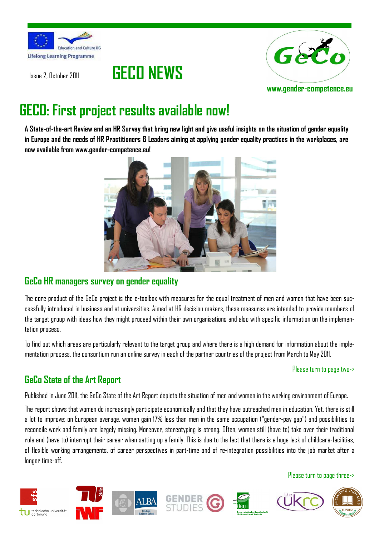





# **GECO: First project results available now!**

**A State-of-the-art Review and an HR Survey that bring new light and give useful insights on the situation of gender equality in Europe and the needs of HR Practitioners & Leaders aiming at applying gender equality practices in the workplaces, are now available from www.gender-competence.eu!** 



## **GeCo HR managers survey on gender equality**

The core product of the GeCo project is the e-toolbox with measures for the equal treatment of men and women that have been successfully introduced in business and at universities. Aimed at HR decision makers, these measures are intended to provide members of the target group with ideas how they might proceed within their own organisations and also with specific information on the implementation process.

To find out which areas are particularly relevant to the target group and where there is a high demand for information about the implementation process, the consortium run an online survey in each of the partner countries of the project from March to May 2011.

### Please turn to page two->

## **GeCo State of the Art Report**

Published in June 2011, the GeCo State of the Art Report depicts the situation of men and women in the working environment of Europe.

The report shows that women do increasingly participate economically and that they have outreached men in education. Yet, there is still a lot to improve: on European average, women gain 17% less than men in the same occupation ("gender-pay gap") and possibilities to reconcile work and family are largely missing. Moreover, stereotyping is strong. Often, women still (have to) take over their traditional role and (have to) interrupt their career when setting up a family. This is due to the fact that there is a huge lack of childcare-facilities, of flexible working arrangements, of career perspectives in part-time and of re-integration possibilities into the job market after a longer time-off.

### Please turn to page three->

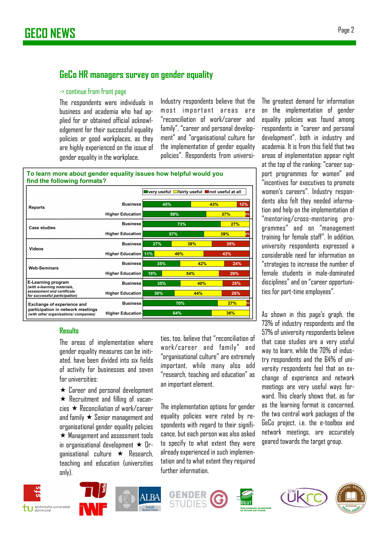## **GeCo HR managers survey on gender equality**

#### -> continue from front page

The respondents were individuals in business and academia who had applied for or obtained official acknowledgement for their successful equality policies or good workplaces, as they are highly experienced on the issue of gender equality in the workplace.

Industry respondents believe that the most important areas are "reconciliation of work/career and family", "career and personal development" and "organisational culture for the implementation of gender equality policies". Respondents from universi-

| To learn more about gender equality issues how helpful would you |  |
|------------------------------------------------------------------|--|
| find the following formats?                                      |  |
|                                                                  |  |

|                                                                           |                         | ■very useful □fairly useful ■not useful at all |     |           |           |  |
|---------------------------------------------------------------------------|-------------------------|------------------------------------------------|-----|-----------|-----------|--|
| <b>Reports</b>                                                            | <b>Business</b>         | 45%                                            |     | 43%       | 12%       |  |
|                                                                           | <b>Higher Education</b> | 59%                                            |     | 37%<br>4% |           |  |
| <b>Case studies</b>                                                       | <b>Business</b>         | 73%                                            |     |           | 27%       |  |
|                                                                           | <b>Higher Education</b> | 57%                                            |     |           | 39%<br>4% |  |
| Videos                                                                    | <b>Business</b>         | 27%                                            | 38% |           | 35%       |  |
|                                                                           | <b>Higher Education</b> | 11%                                            | 46% |           | 43%       |  |
| <b>Web-Seminars</b>                                                       | <b>Business</b>         | 35%                                            | 42% |           | 24%       |  |
|                                                                           | <b>Higher Education</b> | 18%                                            | 54% |           | 29%       |  |
| <b>E-Learning program</b><br>(with e-learning materials,                  | <b>Business</b>         | 35%                                            | 40% |           | 25%       |  |
| assessment and certificate<br>for successful participation)               | <b>Higher Education</b> | 30%                                            | 44% |           | 26%       |  |
| <b>Exchange of experience and</b>                                         | <b>Business</b>         | 70%                                            |     |           | 27%       |  |
| participation in network meetings<br>(with other organisations/companies) | <b>Higher Education</b> | 64%                                            |     |           | 36%       |  |

### **Results**

The areas of implementation where gender equality measures can be initiated, have been divided into six fields of activity for businesses and seven for universities:

 $\star$  Career and personal development Recruitment and filling of vacan $c$ ies  $\star$  Reconciliation of work/career and family  $\star$  Senior management and organisational gender equality policies  $\star$  Management and assessment tools in organisational development  $\star$  Or $q$ anisational culture  $\star$  Research, teaching and education (universities only).

ties, too, believe that "reconciliation of work/career and family" and "organisational culture" are extremely important, while many also add "research, teaching and education" as an important element.

The implementation options for gender equality policies were rated by respondents with regard to their significance, but each person was also asked to specify to what extent they were already experienced in such implementation and to what extent they required further information.

The greatest demand for information on the implementation of gender equality policies was found among respondents in "career and personal development", both in industry and academia. It is from this field that two areas of implementation appear right at the top of the ranking: "career support programmes for women" and "incentives for executives to promote women's careers". Industry respondents also felt they needed information and help on the implementation of "mentoring/cross-mentoring programmes" and on "management training for female staff". In addition, university respondents expressed a considerable need for information on "strategies to increase the number of female students in male-dominated disciplines" and on "career opportunities for part-time employees".

As shown in this page's graph, the 73% of industry respondents and the 57% of university respondents believe that case studies are a very useful way to learn, while the 70% of industry respondents and the 64% of university respondents feel that an exchange of experience and network meetings are very useful ways forward. This clearly shows that, as far as the learning format is concerned, the two central work packages of the GeCo project, i.e. the e-toolbox and network meetings, are accurately geared towards the target group.













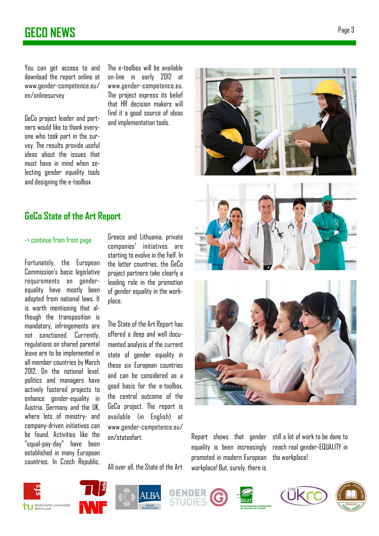## **GECO NEWS** Page 3

You can get access to and download the report online at www.gender-competence.eu/ en/onlinesurvey

GeCo project leader and partners would like to thank everyone who took part in the survey. The results provide useful ideas about the issues that must have in mind when selecting gender equality tools and designing the e-toolbox.

The e-toolbox will be available on-line in early 2012 at www.gender-competence.eu. The project express its belief that HR decision makers will find it a good source of ideas and implementation tools.

## **GeCo State of the Art Report**

### -> continue from front page

Fortunately, the European Commission's basic legislative requirements on genderequality have mostly been adopted from national laws. It is worth mentioning that although the transposition is mandatory, infringements are not sanctioned. Currently, regulations on shared parental leave are to be implemented in all member countries by March 2012. On the national level, politics and managers have actively fostered projects to enhance gender-equality in Austria, Germany and the UK, where lots of ministry- and company-driven initiatives can be found. Activities like the "equal-pay-day" have been established in many European countries. In Czech Republic, Greece and Lithuania, private companies' initiatives are starting to evolve in the fielf. In the latter countries, the GeCo project partners take clearly a leading role in the promotion of gender equality in the workplace.

The State of the Art Report has offered a deep and well documented analysis of the current state of gender equality in these six European countries and can be considered as a good basis for the e-toolbox, the central outcome of the GeCo project. The report is available (in English) at www.gender-competence.eu/ en/stateofart.

All over all, the State of the Art





Report shows that gender equality is been increasingly promoted in modern European workplace! But, surely, there is



the workplace!

still a lot of work to be done to reach real gender-EQUALITY in